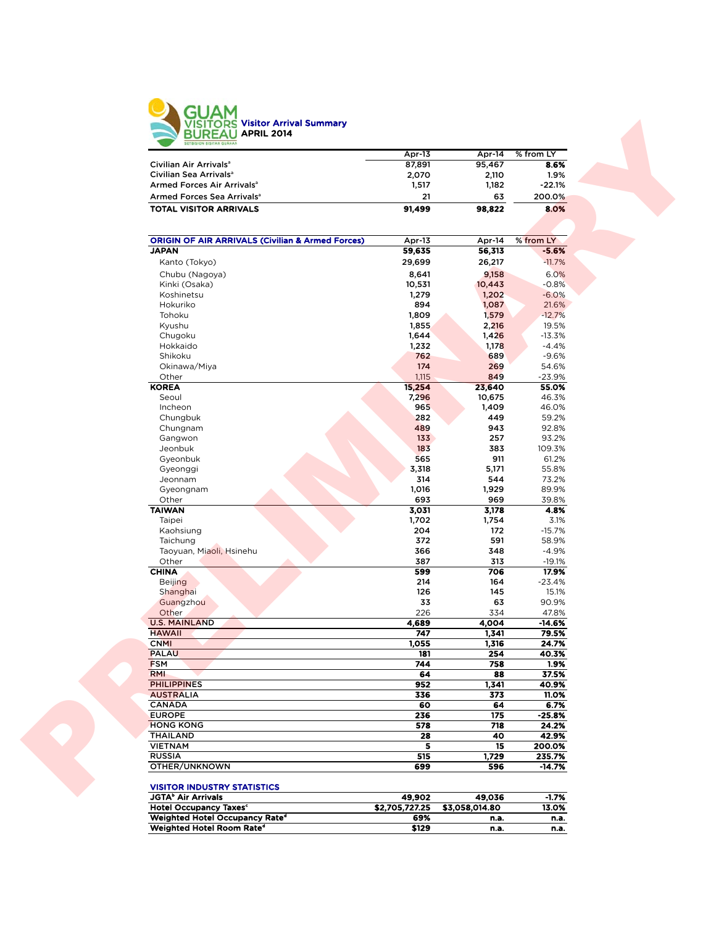

|                                        | Apr-13 | Apr-14 | % from LY |  |
|----------------------------------------|--------|--------|-----------|--|
| Civilian Air Arrivals <sup>a</sup>     | 87.891 | 95.467 | 8.6%      |  |
| Civilian Sea Arrivals <sup>a</sup>     | 2.070  | 2.110  | 1.9%      |  |
| Armed Forces Air Arrivals <sup>a</sup> | 1.517  | 1.182  | $-22.1%$  |  |
| Armed Forces Sea Arrivals <sup>a</sup> | 21     | 63     | 200.0%    |  |
| <b>TOTAL VISITOR ARRIVALS</b>          | 91,499 | 98.822 | 8.0%      |  |

|                                                                             | Apr-13           | Apr-14           | $%$ from LY          |
|-----------------------------------------------------------------------------|------------------|------------------|----------------------|
| Civilian Air Arrivals <sup>a</sup>                                          | 87,891           | 95,467           | 8.6%                 |
| Civilian Sea Arrivals <sup>a</sup>                                          | 2,070            | 2,110            | 1.9%                 |
| Armed Forces Air Arrivals <sup>a</sup>                                      | 1,517            | 1,182            | $-22.1%$             |
| Armed Forces Sea Arrivals <sup>a</sup>                                      | 21               | 63               | 200.0%               |
| <b>TOTAL VISITOR ARRIVALS</b>                                               | 91,499           | 98,822           | 8.0%                 |
|                                                                             |                  |                  |                      |
| <b>ORIGIN OF AIR ARRIVALS (Civilian &amp; Armed Forces)</b><br><b>JAPAN</b> | Apr-13<br>59,635 | Apr-14<br>56,313 | % from LY<br>$-5.6%$ |
|                                                                             |                  |                  |                      |
| Kanto (Tokyo)                                                               | 29,699           | 26,217           | $-11.7%$             |
| Chubu (Nagoya)                                                              | 8,641<br>10,531  | 9,158<br>10,443  | 6.0%                 |
| Kinki (Osaka)<br>Koshinetsu                                                 | 1,279            | 1,202            | $-0.8%$<br>$-6.0%$   |
| Hokuriko                                                                    | 894              | 1,087            | 21.6%                |
| Tohoku                                                                      | 1,809            | 1,579            | $-12.7%$             |
| Kyushu                                                                      | 1,855            | 2,216            | 19.5%                |
| Chugoku                                                                     | 1,644            | 1,426            | $-13.3%$             |
| Hokkaido                                                                    | 1,232            | 1,178            | $-4.4%$              |
| Shikoku                                                                     | 762              | 689              | $-9.6%$              |
| Okinawa/Miya                                                                | 174              | 269              | 54.6%                |
| Other                                                                       | 1,115            | 849              | $-23.9%$             |
| <b>KOREA</b>                                                                | 15,254           | 23,640           | 55.0%                |
| Seoul                                                                       | 7,296            | 10,675           | 46.3%                |
| Incheon                                                                     | 965              | 1,409            | 46.0%                |
| Chungbuk                                                                    | 282              | 449              | 59.2%                |
| Chungnam                                                                    | 489              | 943              | 92.8%                |
| Gangwon                                                                     | 133              | 257              | 93.2%                |
| Jeonbuk                                                                     | 183              | 383              | 109.3%               |
| Gyeonbuk                                                                    | 565              | 911              | 61.2%                |
| Gyeonggi                                                                    | 3,318            | 5,171            | 55.8%                |
| Jeonnam                                                                     | 314              | 544              | 73.2%                |
| Gyeongnam                                                                   | 1,016            | 1,929            | 89.9%                |
| Other                                                                       | 693              | 969              | 39.8%                |
| <b>TAIWAN</b><br>Taipei                                                     | 3,031<br>1,702   | 3,178            | 4.8%                 |
| Kaohsiung                                                                   | 204              | 1,754<br>172     | 3.1%<br>$-15.7%$     |
| Taichung                                                                    | 372              | 591              | 58.9%                |
| Taoyuan, Miaoli, Hsinehu                                                    | 366              | 348              | $-4.9%$              |
| Other                                                                       | 387              | 313              | $-19.1%$             |
| <b>CHINA</b>                                                                | 599              | 706              | 17.9%                |
| <b>Beijing</b>                                                              | 214              | 164              | $-23.4%$             |
| Shanghai                                                                    | 126              | 145              | 15.1%                |
| Guangzhou                                                                   | 33               | 63               | 90.9%                |
| Other                                                                       | 226              | 334              | 47.8%                |
| <b>U.S. MAINLAND</b>                                                        | 4,689            | 4,004            | -14.6%               |
| <b>HAWAII</b>                                                               | 747              | 1,341            | 79.5%                |
| <b>CNMI</b>                                                                 | 1,055            | 1,316            | 24.7%                |
| <b>PALAU</b>                                                                | 181              | 254              | 40.3%                |
| <b>FSM</b>                                                                  | 744              | 758              | 1.9%                 |
| <b>RMI</b>                                                                  | 64               | 88               | 37.5%                |
| <b>PHILIPPINES</b>                                                          | 952              | 1,341            | 40.9%                |
| <b>AUSTRALIA</b>                                                            | 336              | 373              | 11.0%                |
| <b>CANADA</b>                                                               | 60               | 64               | 6.7%                 |
| <b>EUROPE</b>                                                               | 236              | 175              | $-25.8%$             |
| <b>HONG KONG</b>                                                            | 578              | 718              | 24.2%                |
| <b>THAILAND</b>                                                             | 28               | 40               | 42.9%                |
| <b>VIETNAM</b>                                                              | 5                | 15               | 200.0%               |
| <b>RUSSIA</b>                                                               | 515<br>699       | 1,729<br>596     | 235.7%<br>$-14.7%$   |

| <b>JGTA</b> <sup>b</sup> Air Arrivals      | 49.902         | 49.036         | $-1.7%$ |
|--------------------------------------------|----------------|----------------|---------|
| <b>Hotel Occupancy Taxes<sup>c</sup></b>   | \$2,705,727.25 | \$3.058.014.80 | 13.0%   |
| Weighted Hotel Occupancy Rate <sup>®</sup> | 69%            | n.a.           | n.a.    |
| Weighted Hotel Room Rate <sup>d</sup>      | \$129          | n.a.           | n.a.    |